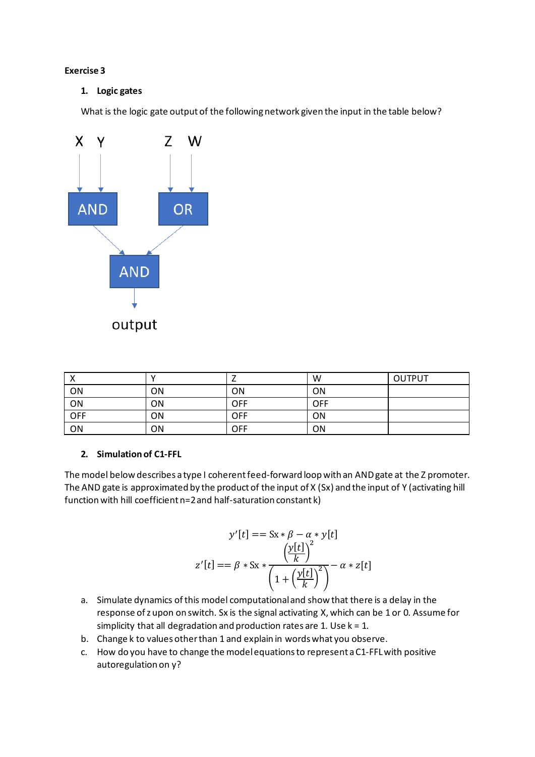## **Exercise 3**

## **1. Logic gates**

What is the logic gate output of the following network given the input in the table below?



| $\mathbf{v}$ | v         |     | W          | <b>OUTPUT</b> |
|--------------|-----------|-----|------------|---------------|
| ON           | ON        | ΟN  | <b>ON</b>  |               |
| ON           | <b>ON</b> | OFF | <b>OFF</b> |               |
| <b>OFF</b>   | ON        | OFF | ON         |               |
| ON           | ON        | OFF | ON         |               |

## **2. Simulation of C1-FFL**

The model below describes a type I coherent feed-forward loop with an AND gate at the Z promoter. The AND gate is approximated by the product of the input of X (Sx) and the input of Y (activating hill function with hill coefficient n=2 and half-saturation constant k)

$$
y'[t] == Sx * \beta - \alpha * y[t]
$$

$$
z'[t] == \beta * Sx * \frac{\left(\frac{y[t]}{k}\right)^2}{\left(1 + \left(\frac{y[t]}{k}\right)^2\right)} - \alpha * z[t]
$$

- a. Simulate dynamics of this model computationaland show that there is a delay in the response of z upon on switch. Sx is the signal activating X, which can be 1 or 0. Assume for simplicity that all degradation and production rates are 1. Use  $k = 1$ .
- b. Change k to values other than 1 and explain in words what you observe.
- c. How do you have to change the model equations to represent a C1-FFL with positive autoregulation on y?